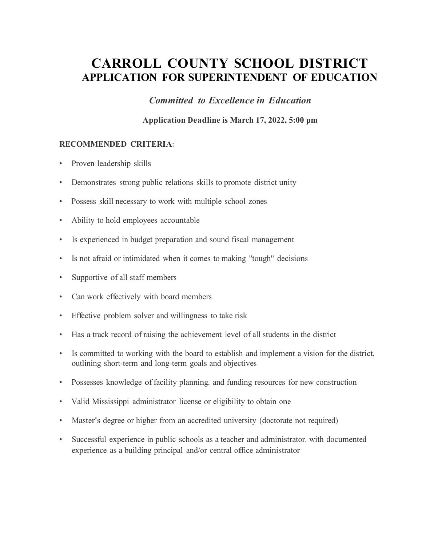### **CARROLL COUNTY SCHOOL DISTRICT APPLICATION FOR SUPERINTENDENT OF EDUCATION**

*Committed to Excellence in Education*

**Application Deadline is March 17, 2022, 5:00 pm**

#### **RECOMMENDED CRITERIA:**

- Proven leadership skills
- Demonstrates strong public relations skills to promote district unity
- Possess skill necessary to work with multiple school zones
- Ability to hold employees accountable
- Is experienced in budget preparation and sound fiscal management
- Is not afraid or intimidated when it comes to making "tough" decisions
- Supportive of all staff members
- Can work effectively with board members
- Effective problem solver and willingness to take risk
- Has a track record of raising the achievement level of all students in the district
- Is committed to working with the board to establish and implement a vision for the district, outlining short-term and long-term goals and objectives
- Possesses knowledge of facility planning, and funding resources for new construction
- Valid Mississippi administrator license or eligibility to obtain one
- Master's degree or higher from an accredited university (doctorate not required)
- Successful experience in public schools as a teacher and administrator, with documented experience as a building principal and/or central office administrator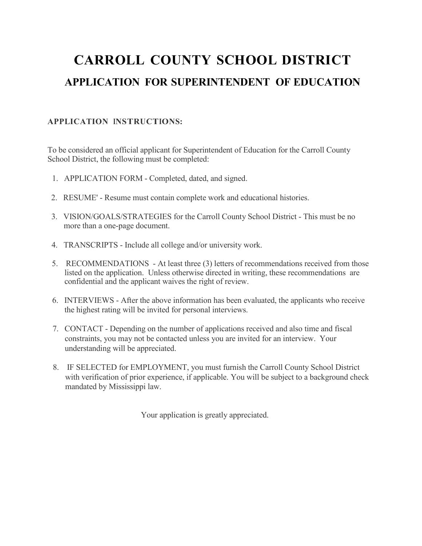# **CARROLL COUNTY SCHOOL DISTRICT APPLICATION FOR SUPERINTENDENT OF EDUCATION**

#### **APPLICATION INSTRUCTIONS:**

To be considered an official applicant for Superintendent of Education for the Carroll County School District, the following must be completed:

- 1. APPLICATION FORM Completed, dated, and signed.
- 2. RESUME' Resume must contain complete work and educational histories.
- 3. VISION/GOALS/STRATEGIES for the Carroll County School District This must be no more than a one-page document.
- 4. TRANSCRIPTS Include all college and/or university work.
- 5. RECOMMENDATIONS At least three (3) letters of recommendations received from those listed on the application. Unless otherwise directed in writing, these recommendations are confidential and the applicant waives the right of review.
- 6. INTERVIEWS After the above information has been evaluated, the applicants who receive the highest rating will be invited for personal interviews.
- 7. CONTACT Depending on the number of applications received and also time and fiscal constraints, you may not be contacted unless you are invited for an interview. Your understanding will be appreciated.
- 8. IF SELECTED for EMPLOYMENT, you must furnish the Carroll County School District with verification of prior experience, if applicable. You will be subject to a background check mandated by Mississippi law.

Your application is greatly appreciated.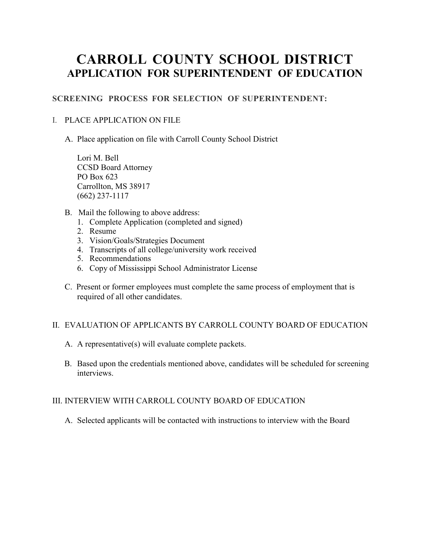### **CARROLL COUNTY SCHOOL DISTRICT APPLICATION FOR SUPERINTENDENT OF EDUCATION**

#### **SCREENING PROCESS FOR SELECTION OF SUPERINTENDENT:**

#### I. PLACE APPLICATION ON FILE

A. Place application on file with Carroll County School District

Lori M. Bell CCSD Board Attorney PO Box 623 Carrollton, MS 38917 (662) 237-1117

- B. Mail the following to above address:
	- 1. Complete Application (completed and signed)
	- 2. Resume
	- 3. Vision/Goals/Strategies Document
	- 4. Transcripts of all college/university work received
	- 5. Recommendations
	- 6. Copy of Mississippi School Administrator License
- C. Present or former employees must complete the same process of employment that is required of all other candidates.

#### II. EVALUATION OF APPLICANTS BY CARROLL COUNTY BOARD OF EDUCATION

- A. A representative(s) will evaluate complete packets.
- B. Based upon the credentials mentioned above, candidates will be scheduled for screening interviews.

#### III. INTERVIEW WITH CARROLL COUNTY BOARD OF EDUCATION

A. Selected applicants will be contacted with instructions to interview with the Board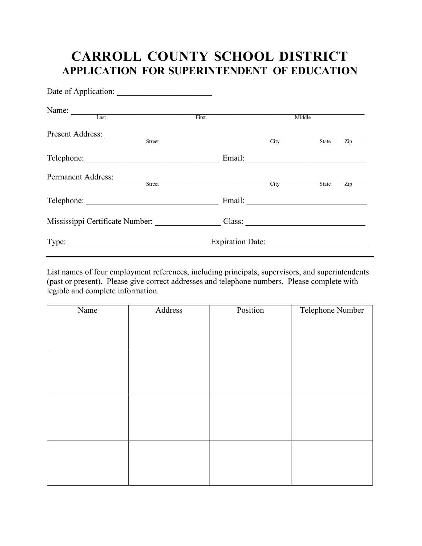## **CARROLL COUNTY SCHOOL DISTRICT APPLICATION FOR SUPERINTENDENT OF EDUCATION**

| Name: Last                      |                  |        |        |                  |
|---------------------------------|------------------|--------|--------|------------------|
|                                 | First            |        | Middle |                  |
| Present Address:                |                  |        |        |                  |
| Street                          |                  | City   | State  | Zip              |
|                                 |                  | Email: |        |                  |
| <b>Permanent Address:</b>       |                  |        |        |                  |
| Street                          |                  | City   | State  | $\overline{Zip}$ |
|                                 |                  |        |        |                  |
| Mississippi Certificate Number: |                  | Class: |        |                  |
|                                 | Expiration Date: |        |        |                  |

List names of four employment references, including principals, supervisors, and superintendents (past or present). Please give correct addresses and telephone numbers. Please complete with legible and complete information.

| Name | Address | Position | Telephone Number |
|------|---------|----------|------------------|
|      |         |          |                  |
|      |         |          |                  |
|      |         |          |                  |
|      |         |          |                  |
|      |         |          |                  |
|      |         |          |                  |
|      |         |          |                  |
|      |         |          |                  |
|      |         |          |                  |
|      |         |          |                  |
|      |         |          |                  |
|      |         |          |                  |
|      |         |          |                  |
|      |         |          |                  |
|      |         |          |                  |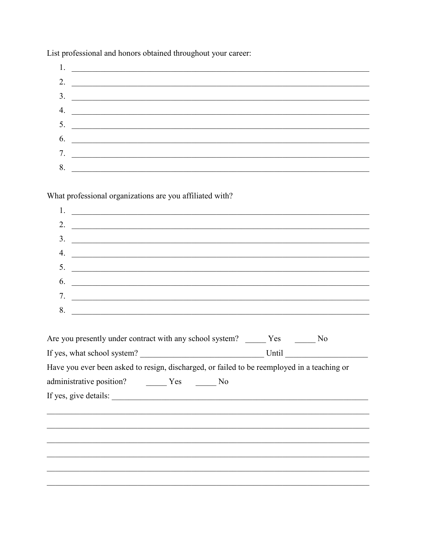List professional and honors obtained throughout your career:

| 2. $\qquad \qquad$ |
|--------------------|
| $\frac{3}{2}$      |
|                    |
| 5.                 |
| $\overline{6.}$    |
|                    |
|                    |
| 8.                 |

What professional organizations are you affiliated with?

|    | 2. $\qquad \qquad$       |
|----|--------------------------|
|    | $\overline{\mathbf{3.}}$ |
|    | 4.                       |
|    | 5. $\qquad \qquad$       |
|    | $\vdots$ $\qquad \qquad$ |
|    | 7.                       |
| 8. |                          |

| Are you presently under contract with any school system? Yes No                             |  |       |  |
|---------------------------------------------------------------------------------------------|--|-------|--|
| If yes, what school system?                                                                 |  | Until |  |
| Have you ever been asked to resign, discharged, or failed to be reemployed in a teaching or |  |       |  |
| administrative position?    Ves No                                                          |  |       |  |
| If yes, give details:                                                                       |  |       |  |
|                                                                                             |  |       |  |
|                                                                                             |  |       |  |
|                                                                                             |  |       |  |
|                                                                                             |  |       |  |
|                                                                                             |  |       |  |
|                                                                                             |  |       |  |